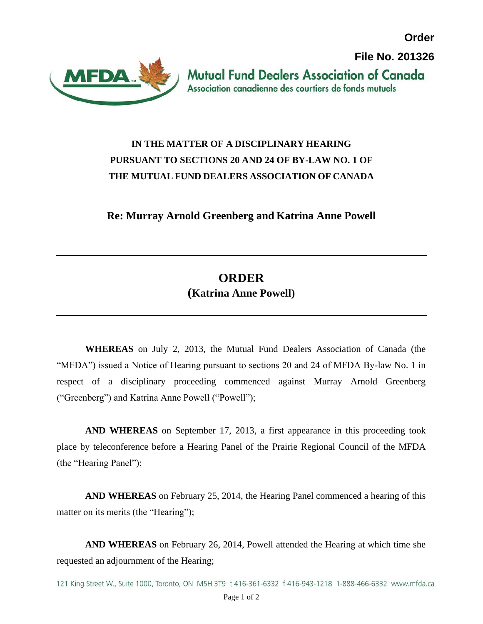**Order**

**File No. 201326**



**Mutual Fund Dealers Association of Canada** Association canadienne des courtiers de fonds mutuels

## **IN THE MATTER OF A DISCIPLINARY HEARING PURSUANT TO SECTIONS 20 AND 24 OF BY-LAW NO. 1 OF THE MUTUAL FUND DEALERS ASSOCIATION OF CANADA**

**Re: Murray Arnold Greenberg and Katrina Anne Powell**

## **ORDER**

## **(Katrina Anne Powell)**

**WHEREAS** on July 2, 2013, the Mutual Fund Dealers Association of Canada (the "MFDA") issued a Notice of Hearing pursuant to sections 20 and 24 of MFDA By-law No. 1 in respect of a disciplinary proceeding commenced against Murray Arnold Greenberg ("Greenberg") and Katrina Anne Powell ("Powell");

**AND WHEREAS** on September 17, 2013, a first appearance in this proceeding took place by teleconference before a Hearing Panel of the Prairie Regional Council of the MFDA (the "Hearing Panel");

**AND WHEREAS** on February 25, 2014, the Hearing Panel commenced a hearing of this matter on its merits (the "Hearing");

**AND WHEREAS** on February 26, 2014, Powell attended the Hearing at which time she requested an adjournment of the Hearing;